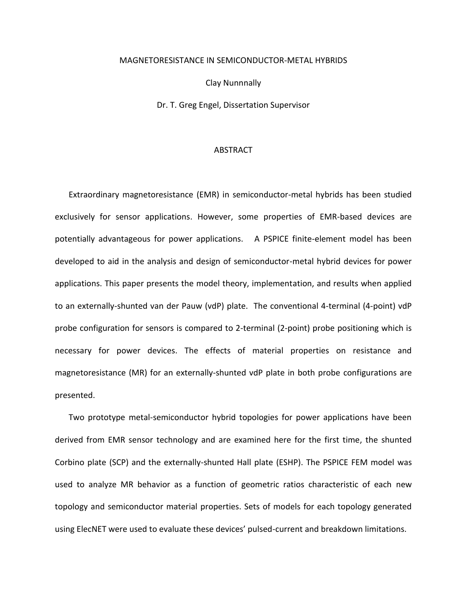## MAGNETORESISTANCE IN SEMICONDUCTOR-METAL HYBRIDS

Clay Nunnnally

Dr. T. Greg Engel, Dissertation Supervisor

## ABSTRACT

Extraordinary magnetoresistance (EMR) in semiconductor-metal hybrids has been studied exclusively for sensor applications. However, some properties of EMR-based devices are potentially advantageous for power applications. A PSPICE finite-element model has been developed to aid in the analysis and design of semiconductor-metal hybrid devices for power applications. This paper presents the model theory, implementation, and results when applied to an externally-shunted van der Pauw (vdP) plate. The conventional 4-terminal (4-point) vdP probe configuration for sensors is compared to 2-terminal (2-point) probe positioning which is necessary for power devices. The effects of material properties on resistance and magnetoresistance (MR) for an externally-shunted vdP plate in both probe configurations are presented.

Two prototype metal-semiconductor hybrid topologies for power applications have been derived from EMR sensor technology and are examined here for the first time, the shunted Corbino plate (SCP) and the externally-shunted Hall plate (ESHP). The PSPICE FEM model was used to analyze MR behavior as a function of geometric ratios characteristic of each new topology and semiconductor material properties. Sets of models for each topology generated using ElecNET were used to evaluate these devices' pulsed-current and breakdown limitations.